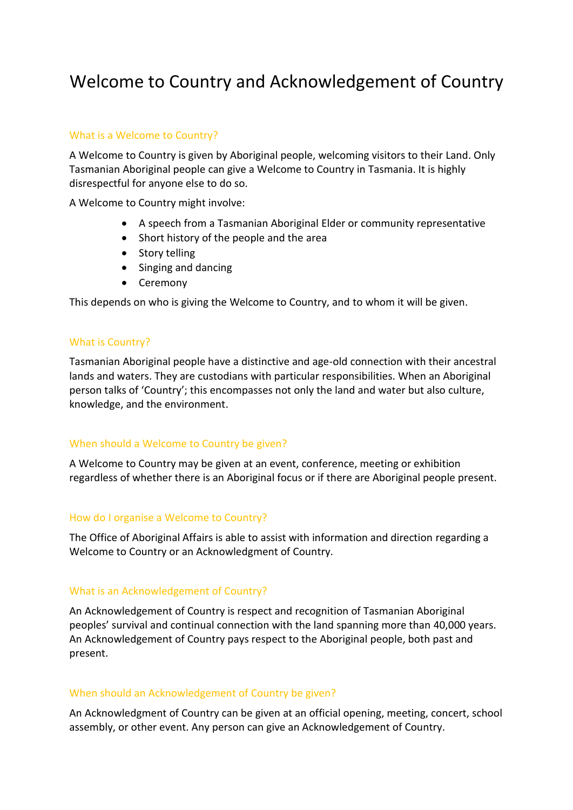# Welcome to Country and Acknowledgement of Country

## What is a Welcome to Country?

A Welcome to Country is given by Aboriginal people, welcoming visitors to their Land. Only Tasmanian Aboriginal people can give a Welcome to Country in Tasmania. It is highly disrespectful for anyone else to do so.

A Welcome to Country might involve:

- A speech from a Tasmanian Aboriginal Elder or community representative
- Short history of the people and the area
- Story telling
- Singing and dancing
- Ceremony

This depends on who is giving the Welcome to Country, and to whom it will be given.

### What is Country?

Tasmanian Aboriginal people have a distinctive and age-old connection with their ancestral lands and waters. They are custodians with particular responsibilities. When an Aboriginal person talks of 'Country'; this encompasses not only the land and water but also culture, knowledge, and the environment.

#### When should a Welcome to Country be given?

A Welcome to Country may be given at an event, conference, meeting or exhibition regardless of whether there is an Aboriginal focus or if there are Aboriginal people present.

#### How do I organise a Welcome to Country?

The Office of Aboriginal Affairs is able to assist with information and direction regarding a Welcome to Country or an Acknowledgment of Country.

#### What is an Acknowledgement of Country?

An Acknowledgement of Country is respect and recognition of Tasmanian Aboriginal peoples' survival and continual connection with the land spanning more than 40,000 years. An Acknowledgement of Country pays respect to the Aboriginal people, both past and present.

#### When should an Acknowledgement of Country be given?

An Acknowledgment of Country can be given at an official opening, meeting, concert, school assembly, or other event. Any person can give an Acknowledgement of Country.